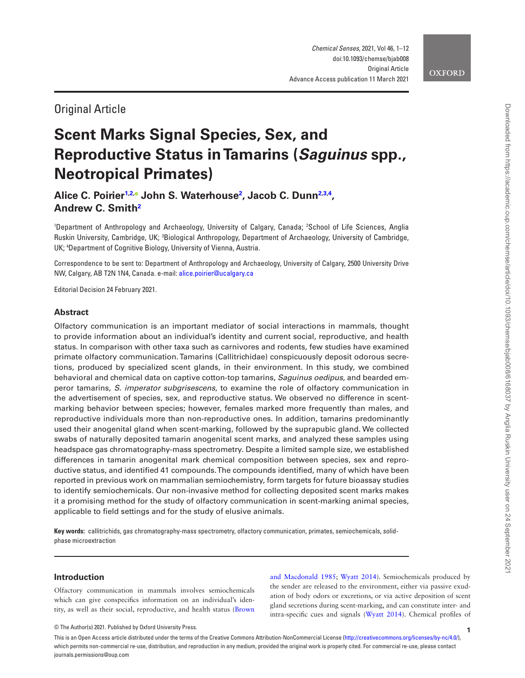# **OXFORD**

# Original Article

# **Scent Marks Signal Species, Sex, and Reproductive Status in Tamarins (***Saguinus* **spp., Neotropical Primates)**

**Alice C. Poirier[1](#page-0-0)[,2](#page-0-1)[,](https://orcid.org/0000-0001-7947-3721) John S. Waterhouse[2](#page-0-1) , Jacob C. Dun[n2](#page-0-1)[,3](#page-0-2)[,4](#page-0-3) , Andrew C. Smith[2](#page-0-1)**

<span id="page-0-3"></span><span id="page-0-2"></span><span id="page-0-1"></span><span id="page-0-0"></span>1 Department of Anthropology and Archaeology, University of Calgary, Canada; 2 School of Life Sciences, Anglia Ruskin University, Cambridge, UK; 3 Biological Anthropology, Department of Archaeology, University of Cambridge, UK; 4 Department of Cognitive Biology, University of Vienna, Austria.

Correspondence to be sent to: Department of Anthropology and Archaeology, University of Calgary, 2500 University Drive NW, Calgary, AB T2N 1N4, Canada. e-mail: [alice.poirier@ucalgary.ca](mailto:alice.poirier@ucalgary.ca?subject=)

Editorial Decision 24 February 2021.

# **Abstract**

Olfactory communication is an important mediator of social interactions in mammals, thought to provide information about an individual's identity and current social, reproductive, and health status. In comparison with other taxa such as carnivores and rodents, few studies have examined primate olfactory communication. Tamarins (Callitrichidae) conspicuously deposit odorous secretions, produced by specialized scent glands, in their environment. In this study, we combined behavioral and chemical data on captive cotton-top tamarins, *Saguinus oedipus*, and bearded emperor tamarins, *S. imperator subgrisescens*, to examine the role of olfactory communication in the advertisement of species, sex, and reproductive status. We observed no difference in scentmarking behavior between species; however, females marked more frequently than males, and reproductive individuals more than non-reproductive ones. In addition, tamarins predominantly used their anogenital gland when scent-marking, followed by the suprapubic gland. We collected swabs of naturally deposited tamarin anogenital scent marks, and analyzed these samples using headspace gas chromatography-mass spectrometry. Despite a limited sample size, we established differences in tamarin anogenital mark chemical composition between species, sex and reproductive status, and identified 41 compounds. The compounds identified, many of which have been reported in previous work on mammalian semiochemistry, form targets for future bioassay studies to identify semiochemicals. Our non-invasive method for collecting deposited scent marks makes it a promising method for the study of olfactory communication in scent-marking animal species, applicable to field settings and for the study of elusive animals.

**Key words:** callitrichids, gas chromatography-mass spectrometry, olfactory communication, primates, semiochemicals, solidphase microextraction

# **Introduction**

Olfactory communication in mammals involves semiochemicals which can give conspecifics information on an individual's identity, as well as their social, reproductive, and health status [\(Brown](#page-10-0) [and Macdonald 1985](#page-10-0); [Wyatt 2014](#page-11-0)). Semiochemicals produced by the sender are released to the environment, either via passive exudation of body odors or excretions, or via active deposition of scent gland secretions during scent-marking, and can constitute inter- and intra-specific cues and signals ([Wyatt 2014](#page-11-0)). Chemical profiles of

© The Author(s) 2021. Published by Oxford University Press.

This is an Open Access article distributed under the terms of the Creative Commons Attribution-NonCommercial License [\(http://creativecommons.org/licenses/by-nc/4.0/](http://creativecommons.org/licenses/by-nc/4.0/)), which permits non-commercial re-use, distribution, and reproduction in any medium, provided the original work is properly cited. For commercial re-use, please contact journals.permissions@oup.com

**1**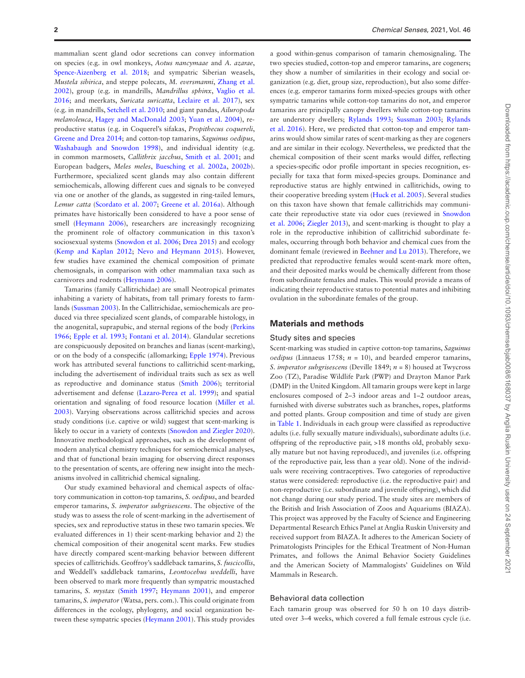mammalian scent gland odor secretions can convey information on species (e.g. in owl monkeys, *Aotus nancymaae* and *A. azarae*, Spence-Aizenberg et al. 2018; and sympatric Siberian weasels, *Mustela sibirica*, and steppe polecats, *M. eversmanni*, [Zhang et al.](#page-11-2)  [2002\)](#page-11-2), group (e.g. in mandrills, *Mandrillus sphinx*, [Vaglio et al.](#page-11-3)  [2016;](#page-11-3) and meerkats, *Suricata suricatta*, [Leclaire et al. 2017\)](#page-10-1), sex (e.g. in mandrills, [Setchell et al. 2010;](#page-11-4) and giant pandas, *Ailuropoda melanoleuca*, [Hagey and MacDonald 2003](#page-10-2); [Yuan et al. 2004](#page-11-5)), reproductive status (e.g. in Coquerel's sifakas, *Propithecus coquereli*, [Greene and Drea 2014](#page-10-3); and cotton-top tamarins, *Saguinus oedipus*, [Washabaugh and Snowdon 1998](#page-11-6)), and individual identity (e.g. in common marmosets, *Callithrix jacchus*, [Smith et al. 2001;](#page-11-7) and European badgers, *Meles meles*, [Buesching et al. 2002a](#page-10-4), [2002b\)](#page-10-5). Furthermore, specialized scent glands may also contain different semiochemicals, allowing different cues and signals to be conveyed via one or another of the glands, as suggested in ring-tailed lemurs, *Lemur catta* ([Scordato et al. 2007](#page-11-8); [Greene et al. 2016a\)](#page-10-6). Although primates have historically been considered to have a poor sense of smell [\(Heymann 2006\)](#page-10-7), researchers are increasingly recognizing the prominent role of olfactory communication in this taxon's sociosexual systems ([Snowdon et al. 2006;](#page-11-9) [Drea 2015](#page-10-8)) and ecology ([Kemp and Kaplan 2012](#page-10-9); [Nevo and Heymann 2015\)](#page-10-10). However, few studies have examined the chemical composition of primate chemosignals, in comparison with other mammalian taxa such as carnivores and rodents ([Heymann 2006\)](#page-10-7).

Tamarins (family Callitrichidae) are small Neotropical primates inhabiting a variety of habitats, from tall primary forests to farmlands [\(Sussman 2003\)](#page-11-10). In the Callitrichidae, semiochemicals are produced via three specialized scent glands, of comparable histology, in the anogenital, suprapubic, and sternal regions of the body ([Perkins](#page-10-11) [1966;](#page-10-11) [Epple et al. 1993;](#page-10-12) [Fontani et al. 2014](#page-10-13)). Glandular secretions are conspicuously deposited on branches and lianas (scent-marking), or on the body of a conspecific (allomarking; [Epple 1974\)](#page-10-14). Previous work has attributed several functions to callitrichid scent-marking, including the advertisement of individual traits such as sex as well as reproductive and dominance status [\(Smith 2006](#page-11-11)); territorial advertisement and defense [\(Lazaro-Perea et al. 1999\)](#page-10-15); and spatial orientation and signaling of food resource location ([Miller et al.](#page-10-16)  [2003\)](#page-10-16). Varying observations across callitrichid species and across study conditions (i.e. captive or wild) suggest that scent-marking is likely to occur in a variety of contexts [\(Snowdon and Ziegler 2020\)](#page-11-12). Innovative methodological approaches, such as the development of modern analytical chemistry techniques for semiochemical analyses, and that of functional brain imaging for observing direct responses to the presentation of scents, are offering new insight into the mechanisms involved in callitrichid chemical signaling.

Our study examined behavioral and chemical aspects of olfactory communication in cotton-top tamarins, *S. oedipus*, and bearded emperor tamarins, *S. imperator subgrisescens*. The objective of the study was to assess the role of scent-marking in the advertisement of species, sex and reproductive status in these two tamarin species. We evaluated differences in 1) their scent-marking behavior and 2) the chemical composition of their anogenital scent marks. Few studies have directly compared scent-marking behavior between different species of callitrichids. Geoffroy's saddleback tamarins, *S. fuscicollis*, and Weddell's saddleback tamarins, *Leontocebus weddelli*, have been observed to mark more frequently than sympatric moustached tamarins, *S. mystax* [\(Smith 1997;](#page-11-13) [Heymann 2001](#page-10-17)), and emperor tamarins, *S. imperator* (Watsa, pers. com.). This could originate from differences in the ecology, phylogeny, and social organization between these sympatric species ([Heymann 2001](#page-10-17)). This study provides

a good within-genus comparison of tamarin chemosignaling. The two species studied, cotton-top and emperor tamarins, are cogeners; they show a number of similarities in their ecology and social organization (e.g. diet, group size, reproduction), but also some differences (e.g. emperor tamarins form mixed-species groups with other sympatric tamarins while cotton-top tamarins do not, and emperor tamarins are principally canopy dwellers while cotton-top tamarins are understory dwellers; [Rylands 1993](#page-10-18); [Sussman 2003;](#page-11-10) [Rylands](#page-10-19) [et al. 2016](#page-10-19)). Here, we predicted that cotton-top and emperor tamarins would show similar rates of scent-marking as they are cogeners and are similar in their ecology. Nevertheless, we predicted that the chemical composition of their scent marks would differ, reflecting a species-specific odor profile important in species recognition, especially for taxa that form mixed-species groups. Dominance and reproductive status are highly entwined in callitrichids, owing to their cooperative breeding system ([Huck et al. 2005](#page-10-20)). Several studies on this taxon have shown that female callitrichids may communicate their reproductive state via odor cues (reviewed in [Snowdon](#page-11-9) [et al. 2006](#page-11-9); [Ziegler 2013\)](#page-11-14), and scent-marking is thought to play a role in the reproductive inhibition of callitrichid subordinate females, occurring through both behavior and chemical cues from the dominant female (reviewed in [Beehner and Lu 2013\)](#page-9-0). Therefore, we predicted that reproductive females would scent-mark more often, and their deposited marks would be chemically different from those from subordinate females and males. This would provide a means of indicating their reproductive status to potential mates and inhibiting ovulation in the subordinate females of the group.

# **Materials and methods**

#### Study sites and species

Scent-marking was studied in captive cotton-top tamarins, *Saguinus oedipus* (Linnaeus 1758; *n* = 10), and bearded emperor tamarins, *S. imperator subgrisescens* (Deville 1849; *n* = 8) housed at Twycross Zoo (TZ), Paradise Wildlife Park (PWP) and Drayton Manor Park (DMP) in the United Kingdom. All tamarin groups were kept in large enclosures composed of 2–3 indoor areas and 1–2 outdoor areas, furnished with diverse substrates such as branches, ropes, platforms and potted plants. Group composition and time of study are given in [Table 1.](#page-2-0) Individuals in each group were classified as reproductive adults (i.e. fully sexually mature individuals), subordinate adults (i.e. offspring of the reproductive pair, >18 months old, probably sexually mature but not having reproduced), and juveniles (i.e. offspring of the reproductive pair, less than a year old). None of the individuals were receiving contraceptives. Two categories of reproductive status were considered: reproductive (i.e. the reproductive pair) and non-reproductive (i.e. subordinate and juvenile offspring), which did not change during our study period. The study sites are members of the British and Irish Association of Zoos and Aquariums (BIAZA). This project was approved by the Faculty of Science and Engineering Departmental Research Ethics Panel at Anglia Ruskin University and received support from BIAZA. It adheres to the American Society of Primatologists Principles for the Ethical Treatment of Non-Human Primates, and follows the Animal Behavior Society Guidelines and the American Society of Mammalogists' Guidelines on Wild Mammals in Research.

#### Behavioral data collection

Each tamarin group was observed for 50 h on 10 days distributed over 3–4 weeks, which covered a full female estrous cycle (i.e.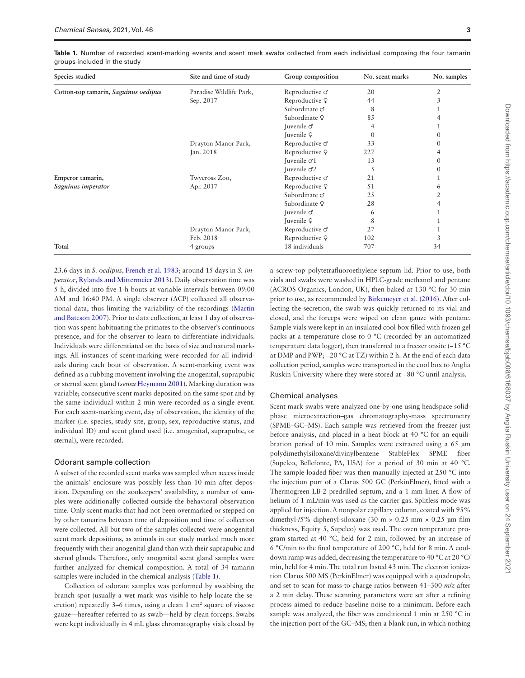| Sep. 2017           | Reproductive Q          | 44       |    |
|---------------------|-------------------------|----------|----|
|                     | Subordinate o           | 8        |    |
|                     | Subordinate Q           | 85       |    |
|                     | Juvenile o              | 4        |    |
|                     | Juvenile 9              | $\Omega$ |    |
| Drayton Manor Park, | Reproductive o          | 33       |    |
| Jan. 2018           | Reproductive Q          | 227      |    |
|                     | Juvenile $\sigma$ 1     | 13       |    |
|                     | Juvenile o <sup>2</sup> | Ć        |    |
| Twycross Zoo,       | Reproductive o          | 21       |    |
| Apr. 2017           | Reproductive Q          | 51       | 6  |
|                     | Subordinate o           | 25       |    |
|                     | Subordinate 9           | 28       |    |
|                     | Juvenile o              | 6        |    |
|                     | Juvenile 9              | 8        |    |
| Drayton Manor Park, | Reproductive o          | 27       |    |
| Feb. 2018           | Reproductive Q          | 102      |    |
| 4 groups            | 18 individuals          | 707      | 34 |
|                     |                         |          |    |

<span id="page-2-0"></span>**Table 1.** Number of recorded scent-marking events and scent mark swabs collected from each individual composing the four tamarin groups included in the study

**Species studied Site and time of study Group composition No. scent marks No. samples**

23.6 days in *S. oedipus*, [French et al. 1983](#page-10-21); around 15 days in *S. imperator*, [Rylands and Mittermeier 2013](#page-11-15)). Daily observation time was 5 h, divided into five 1-h bouts at variable intervals between 09:00 AM and 16:40 PM. A single observer (ACP) collected all observational data, thus limiting the variability of the recordings ([Martin](#page-10-22) [and Bateson 2007](#page-10-22)). Prior to data collection, at least 1 day of observation was spent habituating the primates to the observer's continuous presence, and for the observer to learn to differentiate individuals. Individuals were differentiated on the basis of size and natural markings. All instances of scent-marking were recorded for all individuals during each bout of observation. A scent-marking event was defined as a rubbing movement involving the anogenital, suprapubic or sternal scent gland (*sensu* [Heymann 2001\)](#page-10-17). Marking duration was variable; consecutive scent marks deposited on the same spot and by the same individual within 2 min were recorded as a single event. For each scent-marking event, day of observation, the identity of the marker (i.e. species, study site, group, sex, reproductive status, and individual ID) and scent gland used (i.e. anogenital, suprapubic, or sternal), were recorded.

#### Odorant sample collection

A subset of the recorded scent marks was sampled when access inside the animals' enclosure was possibly less than 10 min after deposition. Depending on the zookeepers' availability, a number of samples were additionally collected outside the behavioral observation time. Only scent marks that had not been overmarked or stepped on by other tamarins between time of deposition and time of collection were collected. All but two of the samples collected were anogenital scent mark depositions, as animals in our study marked much more frequently with their anogenital gland than with their suprapubic and sternal glands. Therefore, only anogenital scent gland samples were further analyzed for chemical composition. A total of 34 tamarin samples were included in the chemical analysis [\(Table 1](#page-2-0)).

Collection of odorant samples was performed by swabbing the branch spot (usually a wet mark was visible to help locate the secretion) repeatedly  $3-6$  times, using a clean  $1 \text{ cm}^2$  square of viscose gauze—hereafter referred to as swab—held by clean forceps. Swabs were kept individually in 4 mL glass chromatography vials closed by

a screw-top polytetrafluoroethylene septum lid. Prior to use, both vials and swabs were washed in HPLC-grade methanol and pentane (ACROS Organics, London, UK), then baked at 130 °C for 30 min prior to use, as recommended by [Birkemeyer et al. \(2016\).](#page-10-23) After collecting the secretion, the swab was quickly returned to its vial and closed, and the forceps were wiped on clean gauze with pentane. Sample vials were kept in an insulated cool box filled with frozen gel packs at a temperature close to 0 °C (recorded by an automatized temperature data logger), then transferred to a freezer onsite (−15 °C at DMP and PWP; −20 °C at TZ) within 2 h. At the end of each data collection period, samples were transported in the cool box to Anglia Ruskin University where they were stored at −80 °C until analysis.

#### Chemical analyses

Scent mark swabs were analyzed one-by-one using headspace solidphase microextraction–gas chromatography-mass spectrometry (SPME–GC–MS). Each sample was retrieved from the freezer just before analysis, and placed in a heat block at 40 °C for an equilibration period of 10 min. Samples were extracted using a 65 µm polydimethylsiloxane/divinylbenzene StableFlex SPME fiber (Supelco, Bellefonte, PA, USA) for a period of 30 min at 40 °C. The sample-loaded fiber was then manually injected at 250 °C into the injection port of a Clarus 500 GC (PerkinElmer), fitted with a Thermogreen LB-2 predrilled septum, and a 1 mm liner. A flow of helium of 1 mL/min was used as the carrier gas. Splitless mode was applied for injection. A nonpolar capillary column, coated with 95% dimethyl-/5% diphenyl-siloxane (30 m × 0.25 mm × 0.25 µm film thickness, Equity 5, Supelco) was used. The oven temperature program started at 40 °C, held for 2 min, followed by an increase of 6 °C/min to the final temperature of 200 °C, held for 8 min. A cooldown ramp was added, decreasing the temperature to 40 °C at 20 °C/ min, held for 4 min. The total run lasted 43 min. The electron ionization Clarus 500 MS (PerkinElmer) was equipped with a quadrupole, and set to scan for mass-to-charge ratios between 41–300 *m*/*z* after a 2 min delay. These scanning parameters were set after a refining process aimed to reduce baseline noise to a minimum. Before each sample was analyzed, the fiber was conditioned 1 min at 250 °C in the injection port of the GC–MS; then a blank run, in which nothing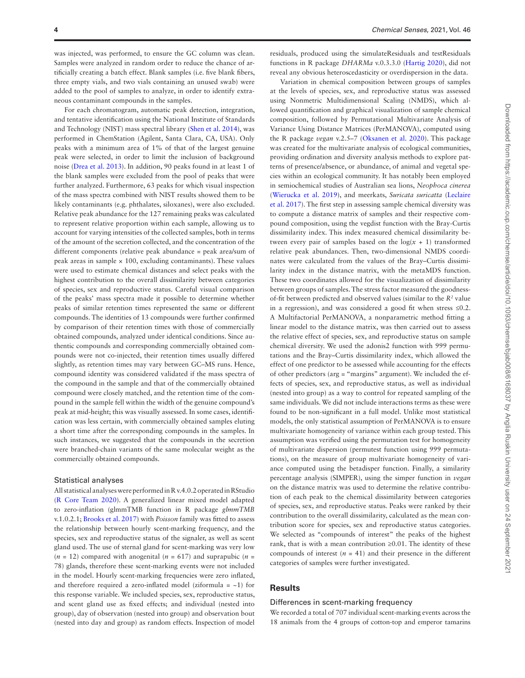was injected, was performed, to ensure the GC column was clean. Samples were analyzed in random order to reduce the chance of artificially creating a batch effect. Blank samples (i.e. five blank fibers, three empty vials, and two vials containing an unused swab) were added to the pool of samples to analyze, in order to identify extraneous contaminant compounds in the samples.

For each chromatogram, automatic peak detection, integration, and tentative identification using the National Institute of Standards and Technology (NIST) mass spectral library ([Shen et al. 2014](#page-11-16)), was performed in ChemStation (Agilent, Santa Clara, CA, USA). Only peaks with a minimum area of 1% of that of the largest genuine peak were selected, in order to limit the inclusion of background noise ([Drea et al. 2013\)](#page-10-24). In addition, 90 peaks found in at least 1 of the blank samples were excluded from the pool of peaks that were further analyzed. Furthermore, 63 peaks for which visual inspection of the mass spectra combined with NIST results showed them to be likely contaminants (e.g. phthalates, siloxanes), were also excluded. Relative peak abundance for the 127 remaining peaks was calculated to represent relative proportion within each sample, allowing us to account for varying intensities of the collected samples, both in terms of the amount of the secretion collected, and the concentration of the different components (relative peak abundance = peak area/sum of peak areas in sample  $\times$  100, excluding contaminants). These values were used to estimate chemical distances and select peaks with the highest contribution to the overall dissimilarity between categories of species, sex and reproductive status. Careful visual comparison of the peaks' mass spectra made it possible to determine whether peaks of similar retention times represented the same or different compounds. The identities of 13 compounds were further confirmed by comparison of their retention times with those of commercially obtained compounds, analyzed under identical conditions. Since authentic compounds and corresponding commercially obtained compounds were not co-injected, their retention times usually differed slightly, as retention times may vary between GC–MS runs. Hence, compound identity was considered validated if the mass spectra of the compound in the sample and that of the commercially obtained compound were closely matched, and the retention time of the compound in the sample fell within the width of the genuine compound's peak at mid-height; this was visually assessed. In some cases, identification was less certain, with commercially obtained samples eluting a short time after the corresponding compounds in the samples. In such instances, we suggested that the compounds in the secretion were branched-chain variants of the same molecular weight as the commercially obtained compounds.

#### Statistical analyses

All statistical analyses were performed in R v.4.0.2 operated in RStudio ([R Core Team 2020](#page-10-25)). A generalized linear mixed model adapted to zero-inflation (glmmTMB function in R package *glmmTMB* v.1.0.2.1; [Brooks et al. 2017\)](#page-10-26) with *Poisson* family was fitted to assess the relationship between hourly scent-marking frequency, and the species, sex and reproductive status of the signaler, as well as scent gland used. The use of sternal gland for scent-marking was very low ( $n = 12$ ) compared with anogenital ( $n = 617$ ) and suprapubic ( $n =$ 78) glands, therefore these scent-marking events were not included in the model. Hourly scent-marking frequencies were zero inflated, and therefore required a zero-inflated model (ziformula =  $\sim$ 1) for this response variable. We included species, sex, reproductive status, and scent gland use as fixed effects; and individual (nested into group), day of observation (nested into group) and observation bout (nested into day and group) as random effects. Inspection of model

residuals, produced using the simulateResiduals and testResiduals functions in R package *DHARMa* v.0.3.3.0 [\(Hartig 2020](#page-10-27)), did not reveal any obvious heteroscedasticity or overdispersion in the data.

Variation in chemical composition between groups of samples at the levels of species, sex, and reproductive status was assessed using Nonmetric Multidimensional Scaling (NMDS), which allowed quantification and graphical visualization of sample chemical composition, followed by Permutational Multivariate Analysis of Variance Using Distance Matrices (PerMANOVA), computed using the R package *vegan* v.2.5–7 [\(Oksanen et al. 2020](#page-10-28)). This package was created for the multivariate analysis of ecological communities, providing ordination and diversity analysis methods to explore patterns of presence/absence, or abundance, of animal and vegetal species within an ecological community. It has notably been employed in semiochemical studies of Australian sea lions, *Neophoca cinerea* ([Wierucka et al. 2019\)](#page-11-17), and meerkats, *Suricata suricatta* [\(Leclaire](#page-10-1) [et al. 2017](#page-10-1)). The first step in assessing sample chemical diversity was to compute a distance matrix of samples and their respective compound composition, using the vegdist function with the Bray-Curtis dissimilarity index. This index measured chemical dissimilarity between every pair of samples based on the  $log(x + 1)$  transformed relative peak abundances. Then, two-dimensional NMDS coordinates were calculated from the values of the Bray–Curtis dissimilarity index in the distance matrix, with the metaMDS function. These two coordinates allowed for the visualization of dissimilarity between groups of samples. The stress factor measured the goodnessof-fit between predicted and observed values (similar to the  $R<sup>2</sup>$  value in a regression), and was considered a good fit when stress ≤0.2. A Multifactorial PerMANOVA, a nonparametric method fitting a linear model to the distance matrix, was then carried out to assess the relative effect of species, sex, and reproductive status on sample chemical diversity. We used the adonis2 function with 999 permutations and the Bray–Curtis dissimilarity index, which allowed the effect of one predictor to be assessed while accounting for the effects of other predictors (arg = "margins" argument). We included the effects of species, sex, and reproductive status, as well as individual (nested into group) as a way to control for repeated sampling of the same individuals. We did not include interactions terms as these were found to be non-significant in a full model. Unlike most statistical models, the only statistical assumption of PerMANOVA is to ensure multivariate homogeneity of variance within each group tested. This assumption was verified using the permutation test for homogeneity of multivariate dispersion (permutest function using 999 permutations), on the measure of group multivariate homogeneity of variance computed using the betadisper function. Finally, a similarity percentage analysis (SIMPER), using the simper function in *vegan* on the distance matrix was used to determine the relative contribution of each peak to the chemical dissimilarity between categories of species, sex, and reproductive status. Peaks were ranked by their contribution to the overall dissimilarity, calculated as the mean contribution score for species, sex and reproductive status categories. We selected as "compounds of interest" the peaks of the highest rank, that is with a mean contribution ≥0.01. The identity of these compounds of interest  $(n = 41)$  and their presence in the different categories of samples were further investigated.

# **Results**

#### Differences in scent-marking frequency

We recorded a total of 707 individual scent-marking events across the 18 animals from the 4 groups of cotton-top and emperor tamarins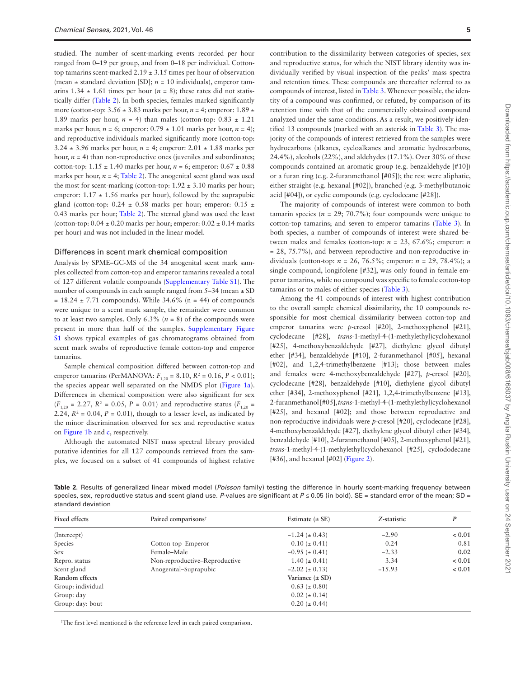studied. The number of scent-marking events recorded per hour ranged from 0–19 per group, and from 0–18 per individual. Cottontop tamarins scent-marked  $2.19 \pm 3.15$  times per hour of observation (mean  $\pm$  standard deviation [SD];  $n = 10$  individuals), emperor tamarins  $1.34 \pm 1.61$  times per hour ( $n = 8$ ); these rates did not statistically differ [\(Table 2\)](#page-4-0). In both species, females marked significantly more (cotton-top: 3.56 ± 3.83 marks per hour, *n* = 4; emperor: 1.89 ± 1.89 marks per hour,  $n = 4$ ) than males (cotton-top:  $0.83 \pm 1.21$ ) marks per hour,  $n = 6$ ; emperor:  $0.79 \pm 1.01$  marks per hour,  $n = 4$ ); and reproductive individuals marked significantly more (cotton-top:  $3.24 \pm 3.96$  marks per hour,  $n = 4$ ; emperor:  $2.01 \pm 1.88$  marks per hour,  $n = 4$ ) than non-reproductive ones (juveniles and subordinates; cotton-top:  $1.15 \pm 1.40$  marks per hour,  $n = 6$ ; emperor:  $0.67 \pm 0.88$ marks per hour,  $n = 4$ ; [Table 2](#page-4-0)). The anogenital scent gland was used the most for scent-marking (cotton-top:  $1.92 \pm 3.10$  marks per hour; emperor:  $1.17 \pm 1.56$  marks per hour), followed by the suprapubic gland (cotton-top: 0.24  $\pm$  0.58 marks per hour; emperor: 0.15  $\pm$ 0.43 marks per hour; [Table 2](#page-4-0)). The sternal gland was used the least (cotton-top:  $0.04 \pm 0.20$  marks per hour; emperor:  $0.02 \pm 0.14$  marks per hour) and was not included in the linear model.

#### Differences in scent mark chemical composition

Analysis by SPME–GC-MS of the 34 anogenital scent mark samples collected from cotton-top and emperor tamarins revealed a total of 127 different volatile compounds [\(Supplementary Table S1](http://academic.oup.com/chemse/article-lookup/doi/10.1093/chemse/bjab008#supplementary-data)). The number of compounds in each sample ranged from 5–34 (mean  $\pm$  SD  $= 18.24 \pm 7.71$  compounds). While 34.6% (n = 44) of compounds were unique to a scent mark sample, the remainder were common to at least two samples. Only  $6.3\%$  ( $n = 8$ ) of the compounds were present in more than half of the samples. [Supplementary Figure](http://academic.oup.com/chemse/article-lookup/doi/10.1093/chemse/bjab008#supplementary-data) [S1](http://academic.oup.com/chemse/article-lookup/doi/10.1093/chemse/bjab008#supplementary-data) shows typical examples of gas chromatograms obtained from scent mark swabs of reproductive female cotton-top and emperor tamarins.

Sample chemical composition differed between cotton-top and emperor tamarins (PerMANOVA:  $F_{1,20} = 8.10$ ,  $R^2 = 0.16$ ,  $P < 0.01$ ); the species appear well separated on the NMDS plot ([Figure 1a\)](#page-5-0). Differences in chemical composition were also significant for sex  $(F_{1,20} = 2.27, R^2 = 0.05, P = 0.01)$  and reproductive status  $(F_{1,20} =$ 2.24,  $R^2 = 0.04$ ,  $P = 0.01$ ), though to a lesser level, as indicated by the minor discrimination observed for sex and reproductive status on [Figure 1b](#page-5-0) and [c](#page-5-0), respectively.

Although the automated NIST mass spectral library provided putative identities for all 127 compounds retrieved from the samples, we focused on a subset of 41 compounds of highest relative

contribution to the dissimilarity between categories of species, sex and reproductive status, for which the NIST library identity was individually verified by visual inspection of the peaks' mass spectra and retention times. These compounds are thereafter referred to as compounds of interest, listed in [Table 3](#page-6-0). Whenever possible, the identity of a compound was confirmed, or refuted, by comparison of its retention time with that of the commercially obtained compound analyzed under the same conditions. As a result, we positively identified 13 compounds (marked with an asterisk in [Table 3](#page-6-0)). The majority of the compounds of interest retrieved from the samples were hydrocarbons (alkanes, cycloalkanes and aromatic hydrocarbons, 24.4%), alcohols (22%), and aldehydes (17.1%). Over 30% of these compounds contained an aromatic group (e.g. benzaldehyde [#10]) or a furan ring (e.g. 2-furanmethanol [#05]); the rest were aliphatic, either straight (e.g. hexanal [#02]), branched (e.g. 3-methylbutanoic acid [#04]), or cyclic compounds (e.g. cyclodecane [#28]).

The majority of compounds of interest were common to both tamarin species ( $n = 29$ ; 70.7%); four compounds were unique to cotton-top tamarins; and seven to emperor tamarins ([Table 3](#page-6-0)). In both species, a number of compounds of interest were shared between males and females (cotton-top:  $n = 23$ , 67.6%; emperor: *n* = 28, 75.7%), and between reproductive and non-reproductive individuals (cotton-top: *n* = 26, 76.5%; emperor: *n* = 29, 78.4%); a single compound, longifolene [#32], was only found in female emperor tamarins, while no compound was specific to female cotton-top tamarins or to males of either species [\(Table 3\)](#page-6-0).

Among the 41 compounds of interest with highest contribution to the overall sample chemical dissimilarity, the 10 compounds responsible for most chemical dissimilarity between cotton-top and emperor tamarins were *p*-cresol [#20], 2-methoxyphenol [#21], cyclodecane [#28], *trans*-1-methyl-4-(1-methylethyl)cyclohexanol [#25], 4-methoxybenzaldehyde [#27], diethylene glycol dibutyl ether [#34], benzaldehyde [#10], 2-furanmethanol [#05], hexanal [#02], and 1,2,4-trimethylbenzene [#13]; those between males and females were 4-methoxybenzaldehyde [#27], *p*-cresol [#20], cyclodecane [#28], benzaldehyde [#10], diethylene glycol dibutyl ether [#34], 2-methoxyphenol [#21], 1,2,4-trimethylbenzene [#13], 2-furanmethanol [#05], *trans*-1-methyl-4-(1-methylethyl)cyclohexanol [#25], and hexanal [#02]; and those between reproductive and non-reproductive individuals were *p*-cresol [#20], cyclodecane [#28], 4-methoxybenzaldehyde [#27], diethylene glycol dibutyl ether [#34], benzaldehyde [#10], 2-furanmethanol [#05], 2-methoxyphenol [#21], *trans*-1-methyl-4-(1-methylethyl)cyclohexanol [#25], cyclododecane [#36], and hexanal [#02] ([Figure 2\)](#page-8-0).

<span id="page-4-0"></span>**Table 2.** Results of generalized linear mixed model (*Poisson* family) testing the difference in hourly scent-marking frequency between species, sex, reproductive status and scent gland use. P-values are significant at P ≤ 0.05 (in bold). SE = standard error of the mean; SD = standard deviation

| <b>Fixed effects</b> | Paired comparisons <sup>†</sup> | Estimate $(\pm SE)$  | Z-statistic | P      |
|----------------------|---------------------------------|----------------------|-------------|--------|
| (Intercept)          |                                 | $-1.24 \ (\pm 0.43)$ | $-2.90$     | < 0.01 |
| Species              | Cotton-top-Emperor              | $0.10 \ (\pm 0.41)$  | 0.24        | 0.81   |
| <b>Sex</b>           | Female-Male                     | $-0.95 \ (\pm 0.41)$ | $-2.33$     | 0.02   |
| Repro. status        | Non-reproductive-Reproductive   | $1.40 \ (\pm 0.41)$  | 3.34        | < 0.01 |
| Scent gland          | Anogenital-Suprapubic           | $-2.02 \ (\pm 0.13)$ | $-15.93$    | < 0.01 |
| Random effects       |                                 | Variance $(\pm SD)$  |             |        |
| Group: individual    |                                 | $0.63~(\pm 0.80)$    |             |        |
| Group: day           |                                 | $0.02 \ (\pm 0.14)$  |             |        |
| Group: day: bout     |                                 | $0.20 (\pm 0.44)$    |             |        |

**†** The first level mentioned is the reference level in each paired comparison.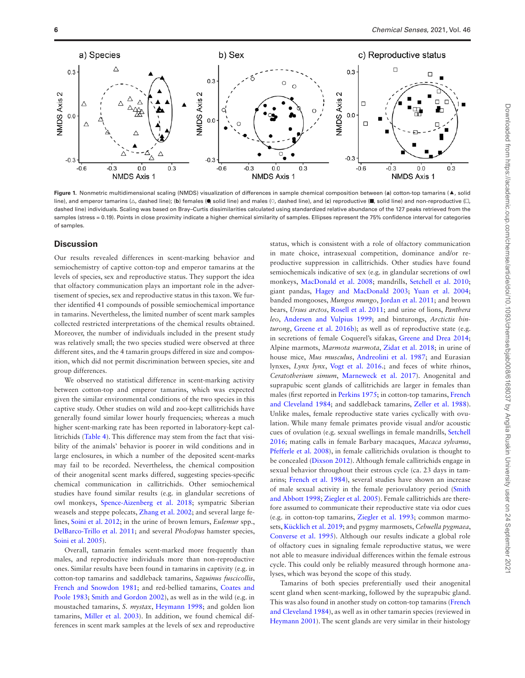

<span id="page-5-0"></span>**Figure 1.** Nonmetric multidimensional scaling (NMDS) visualization of differences in sample chemical composition between (**a**) cotton-top tamarins (▲, solid line), and emperor tamarins (Δ, dashed line); (b) females (●, solid line) and males (○, dashed line), and (c) reproductive (■, solid line) and non-reproductive (□, dashed line) individuals. Scaling was based on Bray-Curtis dissimilarities calculated using standardized relative abundance of the 127 peaks retrieved from the samples (stress = 0.19). Points in close proximity indicate a higher chemical similarity of samples. Ellipses represent the 75% confidence interval for categories of samples.

# **Discussion**

Our results revealed differences in scent-marking behavior and semiochemistry of captive cotton-top and emperor tamarins at the levels of species, sex and reproductive status. They support the idea that olfactory communication plays an important role in the advertisement of species, sex and reproductive status in this taxon. We further identified 41 compounds of possible semiochemical importance in tamarins. Nevertheless, the limited number of scent mark samples collected restricted interpretations of the chemical results obtained. Moreover, the number of individuals included in the present study was relatively small; the two species studied were observed at three different sites, and the 4 tamarin groups differed in size and composition, which did not permit discrimination between species, site and group differences.

We observed no statistical difference in scent-marking activity between cotton-top and emperor tamarins, which was expected given the similar environmental conditions of the two species in this captive study. Other studies on wild and zoo-kept callitrichids have generally found similar lower hourly frequencies; whereas a much higher scent-marking rate has been reported in laboratory-kept callitrichids [\(Table 4\)](#page-8-1). This difference may stem from the fact that visibility of the animals' behavior is poorer in wild conditions and in large enclosures, in which a number of the deposited scent-marks may fail to be recorded. Nevertheless, the chemical composition of their anogenital scent marks differed, suggesting species-specific chemical communication in callitrichids. Other semiochemical studies have found similar results (e.g. in glandular secretions of owl monkeys, [Spence-Aizenberg et al. 2018](#page-11-1); sympatric Siberian weasels and steppe polecats, [Zhang et al. 2002;](#page-11-2) and several large felines, [Soini et al. 2012;](#page-11-18) in the urine of brown lemurs, *Eulemur* spp., [DelBarco-Trillo et al. 2011](#page-10-29); and several *Phodopus* hamster species, [Soini et al. 2005](#page-11-19)).

Overall, tamarin females scent-marked more frequently than males, and reproductive individuals more than non-reproductive ones. Similar results have been found in tamarins in captivity (e.g. in cotton-top tamarins and saddleback tamarins, *Saguinus fuscicollis*, [French and Snowdon 1981](#page-10-30); and red-bellied tamarins, [Coates and](#page-10-31) [Poole 1983](#page-10-31); [Smith and Gordon 2002\)](#page-11-20), as well as in the wild (e.g. in moustached tamarins, *S. mystax*, [Heymann 1998](#page-10-32); and golden lion tamarins, [Miller et al. 2003](#page-10-16)). In addition, we found chemical differences in scent mark samples at the levels of sex and reproductive

status, which is consistent with a role of olfactory communication in mate choice, intrasexual competition, dominance and/or reproductive suppression in callitrichids. Other studies have found semiochemicals indicative of sex (e.g. in glandular secretions of owl monkeys, [MacDonald et al. 2008;](#page-10-33) mandrills, [Setchell et al. 2010;](#page-11-4) giant pandas, [Hagey and MacDonald 2003](#page-10-2); [Yuan et al. 2004;](#page-11-5) banded mongooses, *Mungos mungo*, [Jordan et al. 2011;](#page-10-34) and brown bears, *Ursus arctos*, [Rosell et al. 2011;](#page-10-35) and urine of lions, *Panthera leo*, [Andersen and Vulpius 1999](#page-9-1); and binturongs, *Arctictis binturong*, [Greene et al. 2016b](#page-10-36)); as well as of reproductive state (e.g. in secretions of female Coquerel's sifakas, [Greene and Drea 2014;](#page-10-3) Alpine marmots, *Marmota marmota*, [Zidat et al. 2018](#page-11-21); in urine of house mice, *Mus musculus*, [Andreolini et al. 1987](#page-9-2); and Eurasian lynxes, *Lynx lynx*, *Vogt et al. 2016*.; and feces of white rhinos, *Ceratotherium simum*, [Marneweck et al. 2017](#page-10-37)). Anogenital and suprapubic scent glands of callitrichids are larger in females than males (first reported in [Perkins 1975;](#page-10-38) in cotton-top tamarins, [French](#page-10-39) [and Cleveland 1984;](#page-10-39) and saddleback tamarins, [Zeller et al. 1988\)](#page-11-23). Unlike males, female reproductive state varies cyclically with ovulation. While many female primates provide visual and/or acoustic cues of ovulation (e.g. sexual swellings in female mandrills, [Setchell](#page-11-24) [2016;](#page-11-24) mating calls in female Barbary macaques, *Macaca sylvanus*, [Pfefferle et al. 2008\)](#page-10-40), in female callitrichids ovulation is thought to be concealed ([Dixson 2012\)](#page-10-41). Although female callitrichids engage in sexual behavior throughout their estrous cycle (ca. 23 days in tamarins; [French et al. 1984](#page-10-42)), several studies have shown an increase of male sexual activity in the female periovulatory period [\(Smith](#page-11-25) [and Abbott 1998](#page-11-25); [Ziegler et al. 2005](#page-11-26)). Female callitrichids are therefore assumed to communicate their reproductive state via odor cues (e.g. in cotton-top tamarins, [Ziegler et al. 1993;](#page-11-27) common marmosets, [Kücklich et al. 2019;](#page-10-43) and pygmy marmosets, *Cebuella pygmaea*, [Converse et al. 1995](#page-10-44)). Although our results indicate a global role of olfactory cues in signaling female reproductive status, we were not able to measure individual differences within the female estrous cycle. This could only be reliably measured through hormone analyses, which was beyond the scope of this study.

Tamarins of both species preferentially used their anogenital scent gland when scent-marking, followed by the suprapubic gland. This was also found in another study on cotton-top tamarins ([French](#page-10-39) [and Cleveland 1984\)](#page-10-39), as well as in other tamarin species (reviewed in [Heymann 2001\)](#page-10-17). The scent glands are very similar in their histology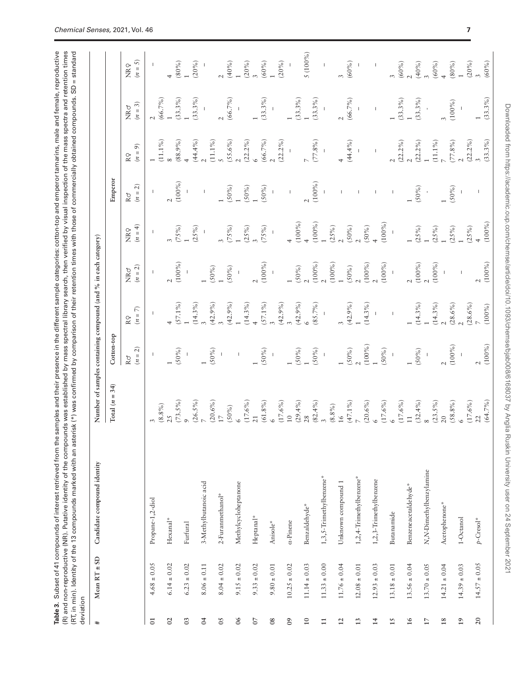<span id="page-6-0"></span>Table 3. Subset of 41 compounds of interest retrieved from the samples and their presence in the different sample categories: cotton-top and emperor tamarins, male and female, reproductive **Table 3.** Subset of 41 compounds of interest retrieved from the samples and their presence in the different sample categories: cotton-top and emperor tamarins, male and female, reproductive (R) and non-reproductive (NR). Putative identity of the compounds was established by mass spectral library search, then verified by visual inspection of the mass spectra and retention times<br>(RT, in min). Identity of the 13 (R) and non-reproductive (NR). Putative identity of the compounds was established by mass spectral library search, then verified by visual inspection of the mass spectra and retention times (RT, in min). Identity of the 13 compounds marked with an asterisk (\*) was confirmed by comparison of their retention times with those of commercially obtained compounds. SD = standard

| deviation       | Mean $RT \pm SD$ | Candidate compound identity | Number of samples containing compound (and % in each category) |                                 |                          |                        |                                                                                                                                                                                                                                                                                                                                                                                  |                 |                          |                         |                                |
|-----------------|------------------|-----------------------------|----------------------------------------------------------------|---------------------------------|--------------------------|------------------------|----------------------------------------------------------------------------------------------------------------------------------------------------------------------------------------------------------------------------------------------------------------------------------------------------------------------------------------------------------------------------------|-----------------|--------------------------|-------------------------|--------------------------------|
|                 |                  |                             | Total $(n = 34)$                                               | Cotton-top                      |                          |                        |                                                                                                                                                                                                                                                                                                                                                                                  | Emperor         |                          |                         |                                |
|                 |                  |                             |                                                                | $(n = 2)$<br>$\mathbb{R} \circ$ | Κ<br>$(n =$<br>RQ        | $(n = 2)$<br>NRơ       | $(n = 4)$<br>NRQ                                                                                                                                                                                                                                                                                                                                                                 | $(n = 2)$<br>Rơ | ெ<br>$(n =$<br>R Q       | $(n = 3)$<br>NRo        | $(n = 5)$<br>NRQ               |
| $\overline{c}$  | $4.68 \pm 0.05$  | Propane-1,2-diol            |                                                                | L                               |                          | T                      | $\begin{array}{c} \rule{0pt}{2.5ex} \rule{0pt}{2.5ex} \rule{0pt}{2.5ex} \rule{0pt}{2.5ex} \rule{0pt}{2.5ex} \rule{0pt}{2.5ex} \rule{0pt}{2.5ex} \rule{0pt}{2.5ex} \rule{0pt}{2.5ex} \rule{0pt}{2.5ex} \rule{0pt}{2.5ex} \rule{0pt}{2.5ex} \rule{0pt}{2.5ex} \rule{0pt}{2.5ex} \rule{0pt}{2.5ex} \rule{0pt}{2.5ex} \rule{0pt}{2.5ex} \rule{0pt}{2.5ex} \rule{0pt}{2.5ex} \rule{0$ |                 |                          |                         |                                |
| $\mathcal{S}$   | $6.14 \pm 0.02$  | $Hexanal*$                  | $(8.8\,\%)$<br>25                                              |                                 |                          |                        |                                                                                                                                                                                                                                                                                                                                                                                  |                 | $(11.1\%)$               | (66.7%)                 |                                |
| $\mathfrak{S}$  | $6.23 \pm 0.02$  | Furfural                    | $(73.5\%)$<br>$\circ$                                          | $(50\%)$                        | $(57.1\%)$               | $(100\%)$              | $(75\%)$                                                                                                                                                                                                                                                                                                                                                                         | $(100\%)$       | $(88.9\%)$               | $(33.3\%)$              | $(80\%)$                       |
| $\overline{5}$  | $8.06 \pm 0.11$  | 3-Methylbutanoic acid       | $(26.5\%)$                                                     |                                 | $(14.3\%)$               |                        | $(25\%)$                                                                                                                                                                                                                                                                                                                                                                         |                 | (44.4%                   | (33.3%)                 | (20%)                          |
| $\overline{05}$ | $8.04 \pm 0.02$  | 2-Furanmethanol*            | $(20.6\%)$<br>$\overline{\mathbb{Z}}$                          | (50%                            | (42.9%                   | $(50\%)$               |                                                                                                                                                                                                                                                                                                                                                                                  |                 | $(11.1\%)$               |                         |                                |
| $\delta$        | $9.15 \pm 0.02$  | Methylcycloheptanone        | $(50\%)$                                                       |                                 | $(42.9\%)$               | $(50\%)$               | (75%)                                                                                                                                                                                                                                                                                                                                                                            | $(50\%)$        | $(55.6\%)$               | $(66.7\%)$              | (40%                           |
| $\overline{0}$  | $9.33 \pm 0.02$  | Heptanal*                   | $(17.6\%)$<br>21                                               |                                 | $(14.3\%)$               |                        | $(25\%)$                                                                                                                                                                                                                                                                                                                                                                         | $(50\%)$        | $(22.2\%)$               |                         | $(20\%)$                       |
| $_{08}$         | $9.80 \pm 0.01$  | Anisole*                    | $(61.8\%)$                                                     | $(50\%)$                        | $(57.1\%)$               | $(100\%)$              | (75%)                                                                                                                                                                                                                                                                                                                                                                            | $(50\%)$        | (66.7%)                  | (33.3%)                 | (60%                           |
| $^{60}$         | $10.25\pm0.02$   | $\alpha$ -Pinene            | $(17.6\%)$<br>$\overline{10}$                                  |                                 | (42.9%                   |                        |                                                                                                                                                                                                                                                                                                                                                                                  |                 | $(22.2\%)$               |                         | $(20\%)$                       |
|                 |                  |                             | $(29.4\%)$                                                     | $(50\%)$                        | (42.9%)                  | $(50\%)$               | $(100\%)$                                                                                                                                                                                                                                                                                                                                                                        | $\mathsf I$     |                          | $(33.3\%)$              |                                |
| 10              | $11.14 \pm 0.03$ | Benzaldehyde*               | 28                                                             |                                 |                          |                        |                                                                                                                                                                                                                                                                                                                                                                                  | $(100\%)$       |                          | (33.3%)                 | 5 (100%                        |
| $\Xi$           | $11.33 \pm 0.00$ | 1,3,5-Trimethylbenzene*     | $(82.4\%)$<br>3                                                | $(50\%)$<br>$\sf I$             | $(85.7\%)$               | $(100\%)$              | $(100\%)$                                                                                                                                                                                                                                                                                                                                                                        |                 | (77.8%                   |                         | $\mathsf I$                    |
| $\overline{2}$  | $11.76 \pm 0.04$ | Unknown compound 1          | $(8.8\%)$<br>16                                                |                                 |                          | $(100\%)$              | $(25\%)$                                                                                                                                                                                                                                                                                                                                                                         |                 |                          |                         |                                |
| $\mathbf{1}$    | $12.08\pm0.01$   | 1,2,4-Trimethylbenzene*     | $(47.1\%)$                                                     | $(50\%)0$                       | (42.9%                   | $(50\%)$               | $(50\%)$                                                                                                                                                                                                                                                                                                                                                                         |                 | (44.4%                   | $(66.7\%)$<br>$\bar{1}$ | (60%                           |
| 호               | $12.93 \pm 0.03$ | 1,2,3-Trimethylbenzene      | $(20.6\%)$<br>$(17.6\%)$                                       | $(100\%)$<br>$(50\%)$           | $(14.3\%)$               | $(100\%)$<br>$(100\%)$ | $(100\%)$<br>$(50\%)$                                                                                                                                                                                                                                                                                                                                                            |                 | $\bar{\rm I}$            | $\bar{\rm I}$           | $\begin{array}{c} \end{array}$ |
| $\overline{15}$ | $13.18\pm0.01$   | Butanamide                  |                                                                | $\mathbb{I}$                    |                          |                        |                                                                                                                                                                                                                                                                                                                                                                                  |                 |                          |                         |                                |
| 16              | $13.56 \pm 0.04$ | Benzeneacetaldehyde*        | $(17.6\%)$<br>$\overline{1}$                                   |                                 |                          | $(100\%)$              |                                                                                                                                                                                                                                                                                                                                                                                  |                 | $(22.2\%)$<br>$(22.2\%)$ | $(33.3\%)$              | (60%                           |
| $\overline{17}$ | $13.70\pm0.05$   | N,N-Dimethylbenzylamine     | $(32.4\%)$                                                     | $(50\%)$                        | $(14.3\%)$               |                        | (25%)                                                                                                                                                                                                                                                                                                                                                                            | $(50\%)$        |                          | (33.3%)                 | (40%                           |
| 18              | $14.21 \pm 0.04$ | Acetophenone*               | $(23.5\%)$<br>$(58.8\%)$<br>20                                 | $(100\%)$                       | $(14.3\%)$<br>$(28.6\%)$ | $(100\%)$              | $(25\%)$<br>(25%)                                                                                                                                                                                                                                                                                                                                                                | $(50\%)$        | $(11.1\%)$<br>$(77.8\%)$ | $(100\%)$               | $(60\%)$<br>$(80\%)$           |
| $\overline{19}$ | $14.39\pm0.03$   | 1-Octanol                   | $\circ$                                                        |                                 |                          | $\overline{1}$         |                                                                                                                                                                                                                                                                                                                                                                                  |                 |                          |                         |                                |
| 20              | $14.57 \pm 0.05$ | $p$ -Cresol <sup>*</sup>    | $(17.6\%$<br>$(64.7\%)$<br>22                                  | $(100\%)$<br>$\mathbf{\sim}$    | $(28.6\%)$<br>$(100\%)$  | $(100\%)$<br>$\sim$    | $(100\%)$<br>(25%)                                                                                                                                                                                                                                                                                                                                                               |                 | $(22.2\%)$<br>$(33.3\%)$ | $(33.3\%)$              | $(20\%)$<br>$(60\%)$           |
|                 |                  |                             |                                                                |                                 |                          |                        |                                                                                                                                                                                                                                                                                                                                                                                  |                 |                          |                         |                                |

Downloaded from https://academic.oup.com/chemse/article/doi/10.1093/chemse/bjab008/6168037 by Anglia Ruskin University user on 24 September 2021

Downloaded from https://academic.oup.com/chemse/article/doi/10.1093/chemse/bjab008/6168037 by Anglia Ruskin University user on 24 September 2021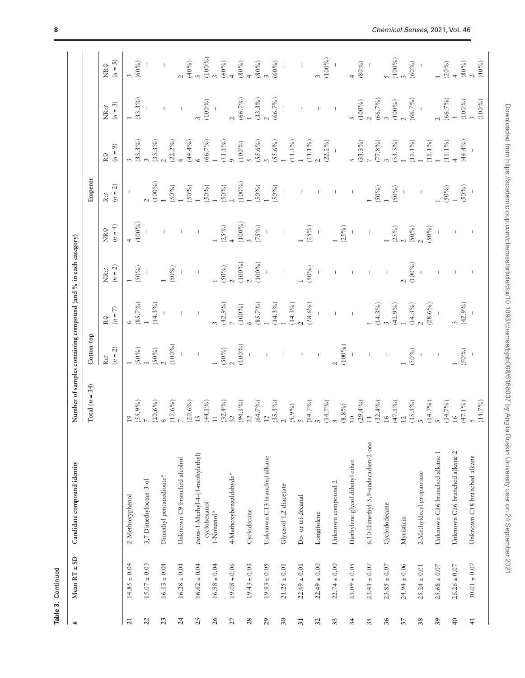| $\ddot{}$       | Mean $RT \pm SD$ | Candidate compound identity                  | Number of samples containing compound (and % in each category)                                                                                                                                                                                                                                |                               |                 |                                                            |                              |                                  |                                                   |                  |                                                                               |
|-----------------|------------------|----------------------------------------------|-----------------------------------------------------------------------------------------------------------------------------------------------------------------------------------------------------------------------------------------------------------------------------------------------|-------------------------------|-----------------|------------------------------------------------------------|------------------------------|----------------------------------|---------------------------------------------------|------------------|-------------------------------------------------------------------------------|
|                 |                  |                                              | Total $(n = 34)$                                                                                                                                                                                                                                                                              | Cotton-top                    |                 |                                                            |                              | Emperor                          |                                                   |                  |                                                                               |
|                 |                  |                                              |                                                                                                                                                                                                                                                                                               | $(n=2)$<br>$\mathbb{R} \circ$ | $(n=7)$<br>RQ   | $(n = 2)$<br>NRơ                                           | $(n = 4)$<br>NR <sub>9</sub> | $(n=2)$<br>$\mathbb{R} \circ$    | $(n=9)$<br>RQ                                     | $(n = 3)$<br>NRo | $(n=5)$<br>NRQ                                                                |
| $\overline{21}$ | $14.85 \pm 0.04$ | 2-Methoxyphenol                              | 19                                                                                                                                                                                                                                                                                            |                               |                 |                                                            |                              |                                  |                                                   |                  |                                                                               |
|                 |                  |                                              | $(55.9\%)$                                                                                                                                                                                                                                                                                    | $(50\%)$                      | $(85.7\%)$<br>1 | $(50\%)$                                                   | $(100\%)$                    |                                  | (33.3%)                                           | $(33.3\%)$       | (60%                                                                          |
| 22              | $15.07 \pm 0.03$ | 3,7-Dimethyloctan-3-ol                       |                                                                                                                                                                                                                                                                                               | $(50\%)$                      | $(14.3\%)$      |                                                            |                              | $(100\%)$                        | $(33.3\%)$                                        |                  |                                                                               |
| 23              | $16.13 \pm 0.04$ | Dimethyl pentanedioate*                      | $(20.6\%)(6)$                                                                                                                                                                                                                                                                                 | $(100\%)$                     |                 |                                                            |                              |                                  |                                                   |                  |                                                                               |
| 24              | $16.28 \pm 0.04$ | Unknown C9 branched alcohol                  | $(17.6\%)$<br>7<br>7<br>$(20.6\%)$<br>15<br>$(32.4\%)$<br>$(44.1\%)$<br>$(54.7\%)$<br>$(54.7\%)$<br>$(54.7\%)$<br>$(54.7\%)$<br>$(14.7\%)$<br>$(14.7\%)$<br>$(14.7\%)$<br>$(14.7\%)$<br>$(14.7\%)$<br>$(14.7\%)$<br>$(14.7\%)$<br>$(14.7\%)$<br>$(14.7\%)$<br>$(14.7\%)$<br>$(14.7\%)$<br>$($ |                               |                 | $(50\%)$                                                   |                              | $(50\%)$                         | $(22.2\%)$                                        |                  |                                                                               |
| 25              | $16.62 \pm 0.04$ | trans-1-Methyl-4-(1-methylethyl)             |                                                                                                                                                                                                                                                                                               | $\bar{1}$                     | $\bar{1}$       | $\bar{\rm I}$                                              | $\mathsf I$                  | $(50\%)$<br>1                    | $(44.4\%)$                                        |                  | 2<br>$(40\%)$<br>5<br>$(100\%)$<br>3<br>$(60\%)$<br>$(60\%)$<br>4<br>$(80\%)$ |
|                 |                  | cyclohexanol                                 |                                                                                                                                                                                                                                                                                               |                               |                 |                                                            |                              |                                  | $(66.7\%)$<br>1                                   | $(100\%)$        |                                                                               |
| 26              | $16.98 \pm 0.04$ | 1-Nonanol*                                   |                                                                                                                                                                                                                                                                                               |                               |                 |                                                            |                              |                                  |                                                   |                  |                                                                               |
| 27              | $19.08 \pm 0.06$ | 4-Methoxybenzaldehyde*                       |                                                                                                                                                                                                                                                                                               | $(50\%)$<br>$2$<br>$(100\%)$  | $(42.9\%)$      |                                                            |                              | $(50\%)$<br>$(50\%)$<br>$2$      | $(11.1\%)$                                        |                  |                                                                               |
|                 |                  |                                              |                                                                                                                                                                                                                                                                                               |                               | $(100\%)$<br>6  | $\begin{array}{l} (50\%) \\ 2 \\ (100\%) \\ 2 \end{array}$ | $(25\%)$<br>$(100\%)$<br>3   | $(100\%)$ $1$                    | $(100\%)$<br>5                                    | $(66.7\%)$<br>1  |                                                                               |
| 28              | $19.43 \pm 0.03$ | Cyclodecane                                  |                                                                                                                                                                                                                                                                                               |                               |                 | $(100\%)$                                                  | (75%)                        |                                  |                                                   |                  |                                                                               |
| 29              | $19.93 \pm 0.05$ | Unknown C13 branched alkane                  |                                                                                                                                                                                                                                                                                               |                               | $(85.7\%)$<br>1 |                                                            |                              | $(50\%)$<br>1                    | $(55.6\%)$<br>5                                   | $(33.3\%)$       | $(80\%)\n3$                                                                   |
|                 |                  |                                              |                                                                                                                                                                                                                                                                                               |                               | $(14.3\%)$      |                                                            |                              | $(50\%)$                         | $(55.6\%)$ $1$                                    | $(66.7\%)$       | $(60\%)$                                                                      |
| $30\,$          | $21.25 \pm 0.01$ | Glycerol 1,2-diacetate                       |                                                                                                                                                                                                                                                                                               |                               |                 | $\bar{\rm I}$                                              | $\bar{\rm I}$                |                                  |                                                   |                  |                                                                               |
| $\overline{31}$ | $22.49 \pm 0.01$ | Do- or tri-decanal                           |                                                                                                                                                                                                                                                                                               |                               | $(14.3\%)$      |                                                            |                              |                                  | $\begin{array}{c} (11.1\% \\ 1 \end{array}$       |                  | $\mathsf I$                                                                   |
|                 |                  |                                              |                                                                                                                                                                                                                                                                                               |                               | $(28.6\%)$      | $(50\%)$                                                   | (25%)                        |                                  | $(11.1\%)$                                        |                  |                                                                               |
| 32              | $22.49 \pm 0.00$ | Longifolene                                  |                                                                                                                                                                                                                                                                                               | $\mathbf I$                   |                 |                                                            |                              |                                  |                                                   |                  |                                                                               |
| 33              | $22.74 \pm 0.00$ | Unknown compound 2                           |                                                                                                                                                                                                                                                                                               |                               |                 |                                                            |                              |                                  | $(22.2\%)$                                        | $\perp$          | $(100\%)$<br>$\mathbf{I}$                                                     |
|                 |                  |                                              |                                                                                                                                                                                                                                                                                               | $(100\%)$                     |                 |                                                            | $(25\%)$                     |                                  |                                                   |                  |                                                                               |
| 34              | $23.09 \pm 0.05$ | Diethylene glycol dibutyl ether              |                                                                                                                                                                                                                                                                                               |                               | $\bar{1}$       |                                                            |                              | $\mathsf I$                      |                                                   |                  |                                                                               |
| 35              | $23.41 \pm 0.07$ | 6,10-Dimethyl-5,9-undecadien-2-one           |                                                                                                                                                                                                                                                                                               |                               |                 |                                                            | $\bar{1}$                    |                                  | $(33.3%)$<br>$7$<br>$(77.8%)$<br>$3$<br>$(33.3%)$ | $(100\%)$<br>2   | $(80\%)$                                                                      |
|                 |                  |                                              |                                                                                                                                                                                                                                                                                               |                               | $(14.3\%)$<br>3 |                                                            |                              | $(50\%)$<br>$(50\%)$<br>$(50\%)$ |                                                   | $(66.7\%)$<br>3  |                                                                               |
| 36              | $23.85 \pm 0.07$ | Cyclododecane                                |                                                                                                                                                                                                                                                                                               | $\mathbf I$                   |                 | $\mathbf I$                                                |                              |                                  |                                                   |                  |                                                                               |
| $\overline{37}$ | $24.94 \pm 0.06$ | Myristicin                                   |                                                                                                                                                                                                                                                                                               |                               | $(42.9\%)$<br>1 |                                                            | $(25\%)$<br>2                |                                  |                                                   | $(100\%)$<br>2   | $(100\%)$<br>3                                                                |
|                 |                  |                                              |                                                                                                                                                                                                                                                                                               | $(50\%)$                      | $(14.3\%)$      | $(100\%)$                                                  | $(50\%)$<br>2                |                                  | $(11.1\%)$                                        | $(66.7\%)$       | $(60\%)$                                                                      |
| 38              | $25.24 \pm 0.01$ | 2-Methyldecyl propanoate                     |                                                                                                                                                                                                                                                                                               |                               | $(28.6\%)$      |                                                            |                              |                                  |                                                   |                  |                                                                               |
| 39              | $25.68 \pm 0.07$ | Unknown C16 branched alkane 1                |                                                                                                                                                                                                                                                                                               |                               |                 |                                                            | $(50\%)$                     |                                  | $(11.1\%)$                                        |                  |                                                                               |
|                 |                  |                                              |                                                                                                                                                                                                                                                                                               |                               |                 |                                                            |                              | $(50\%)$<br>1                    | $(11.1\%)$                                        | $(66.7\%)$<br>3  | (20%)                                                                         |
| $\overline{40}$ | $26.26\pm0.07$   | $\mathcal{L}$<br>Unknown C16 branched alkane |                                                                                                                                                                                                                                                                                               |                               |                 |                                                            |                              |                                  | $(44.4\%)$                                        |                  |                                                                               |
| $\overline{4}$  | $30.01\pm0.07$   | Unknown C18 branched alkane                  | $(47.1\%)$<br>5                                                                                                                                                                                                                                                                               | $(50\%)$                      | (42.9%)         |                                                            |                              | $(50\%)$                         |                                                   | $(100\%)$<br>3   | $(80\%)$<br>$2$<br>$(40\%)$                                                   |
|                 |                  |                                              | (14.7%                                                                                                                                                                                                                                                                                        |                               |                 |                                                            |                              |                                  |                                                   | (100%            |                                                                               |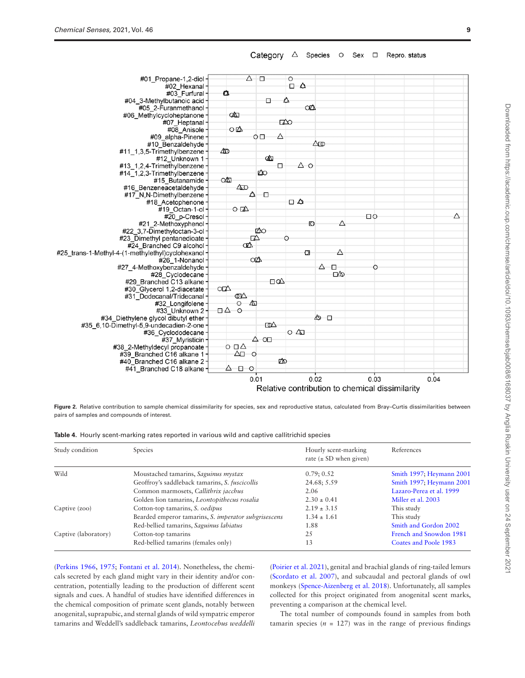

Category  $\triangle$  Species  $\circ$ Sex  $\Box$  Repro. status

<span id="page-8-0"></span>Figure 2. Relative contribution to sample chemical dissimilarity for species, sex and reproductive status, calculated from Bray–Curtis dissimilarities between pairs of samples and compounds of interest.

<span id="page-8-1"></span>

|  |  |  | Table 4. Hourly scent-marking rates reported in various wild and captive callitrichid species |  |  |  |  |  |  |  |
|--|--|--|-----------------------------------------------------------------------------------------------|--|--|--|--|--|--|--|
|--|--|--|-----------------------------------------------------------------------------------------------|--|--|--|--|--|--|--|

| Study condition      | Species                                              | Hourly scent-marking<br>rate $(\pm SD$ when given) | References               |
|----------------------|------------------------------------------------------|----------------------------------------------------|--------------------------|
| Wild                 | Moustached tamarins, Saguinus mystax                 | 0.79; 0.52                                         | Smith 1997; Heymann 2001 |
|                      | Geoffroy's saddleback tamarins, S. fuscicollis       | 24.68; 5.59                                        | Smith 1997; Heymann 2001 |
|                      | Common marmosets, Callithrix jacchus                 | 2.06                                               | Lazaro-Perea et al. 1999 |
|                      | Golden lion tamarins, Leontopithecus rosalia         | $2.30 \pm 0.41$                                    | Miller et al. 2003       |
| Captive (zoo)        | Cotton-top tamarins, S. oedipus                      | $2.19 \pm 3.15$                                    | This study               |
|                      | Bearded emperor tamarins, S. imperator subgrisescens | $1.34 \pm 1.61$                                    | This study               |
|                      | Red-bellied tamarins, Saguinus labiatus              | 1.88                                               | Smith and Gordon 2002    |
| Captive (laboratory) | Cotton-top tamarins                                  | 2.5                                                | French and Snowdon 1981  |
|                      | Red-bellied tamarins (females only)                  | 13                                                 | Coates and Poole 1983    |
|                      |                                                      |                                                    |                          |

([Perkins 1966,](#page-10-11) [1975](#page-10-38); [Fontani et al. 2014\)](#page-10-13). Nonetheless, the chemicals secreted by each gland might vary in their identity and/or concentration, potentially leading to the production of different scent signals and cues. A handful of studies have identified differences in the chemical composition of primate scent glands, notably between anogenital, suprapubic, and sternal glands of wild sympatric emperor tamarins and Weddell's saddleback tamarins, *Leontocebus weddelli* ([Poirier et al. 2021\)](#page-10-45), genital and brachial glands of ring-tailed lemurs ([Scordato et al. 2007\)](#page-11-8), and subcaudal and pectoral glands of owl monkeys [\(Spence-Aizenberg et al. 2018\)](#page-11-1). Unfortunately, all samples collected for this project originated from anogenital scent marks, preventing a comparison at the chemical level.

The total number of compounds found in samples from both tamarin species  $(n = 127)$  was in the range of previous findings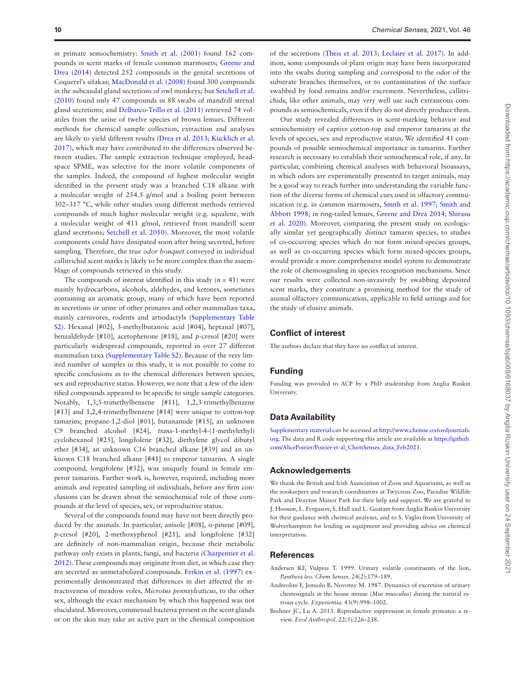in primate semiochemistry: [Smith et al. \(2001\)](#page-11-7) found 162 compounds in scent marks of female common marmosets; [Greene and](#page-10-3) [Drea \(2014\)](#page-10-3) detected 252 compounds in the genital secretions of Coquerel's sifakas; [MacDonald et al. \(2008\)](#page-10-33) found 300 compounds in the subcaudal gland secretions of owl monkeys; but [Setchell et al.](#page-11-4) [\(2010\)](#page-11-4) found only 47 compounds in 88 swabs of mandrill sternal gland secretions; and [Delbarco-Trillo et al. \(2011\)](#page-10-29) retrieved 74 volatiles from the urine of twelve species of brown lemurs. Different methods for chemical sample collection, extraction and analyses are likely to yield different results ([Drea et al. 2013](#page-10-24); [Kücklich et al.](#page-10-46) [2017](#page-10-46)), which may have contributed to the differences observed between studies. The sample extraction technique employed, headspace SPME, was selective for the more volatile components of the samples. Indeed, the compound of highest molecular weight identified in the present study was a branched C18 alkane with a molecular weight of 254.5 g/mol and a boiling point between 302–317 °C, while other studies using different methods retrieved compounds of much higher molecular weight (e.g. squalene, with a molecular weight of 411 g/mol, retrieved from mandrill scent gland secretions; [Setchell et al. 2010](#page-11-4)). Moreover, the most volatile components could have dissipated soon after being secreted, before sampling. Therefore, the true *odor bouquet* conveyed in individual callitrichid scent marks is likely to be more complex than the assemblage of compounds retrieved in this study.

The compounds of interest identified in this study  $(n = 41)$  were mainly hydrocarbons, alcohols, aldehydes, and ketones, sometimes containing an aromatic group, many of which have been reported in secretions or urine of other primates and other mammalian taxa, mainly carnivores, rodents and artiodactyls ([Supplementary Table](http://academic.oup.com/chemse/article-lookup/doi/10.1093/chemse/bjab008#supplementary-data) [S2\)](http://academic.oup.com/chemse/article-lookup/doi/10.1093/chemse/bjab008#supplementary-data). Hexanal [#02], 3-methylbutanoic acid [#04], heptanal [#07], benzaldehyde [#10], acetophenone [#18], and *p*-cresol [#20] were particularly widespread compounds, reported in over 27 different mammalian taxa ([Supplementary Table S2\)](http://academic.oup.com/chemse/article-lookup/doi/10.1093/chemse/bjab008#supplementary-data). Because of the very limited number of samples in this study, it is not possible to come to specific conclusions as to the chemical differences between species, sex and reproductive status. However, we note that a few of the identified compounds appeared to be specific to single sample categories. Notably, 1,3,5-trimethylbenzene [#11], 1,2,3-trimethylbenzene [#13] and 1,2,4-trimethylbenzene [#14] were unique to cotton-top tamarins; propane-1,2-diol [#01], butanamide [#15], an unknown C9 branched alcohol [#24], *trans*-1-methyl-4-(1-methylethyl) cyclohexanol [#25], longifolene [#32], diethylene glycol dibutyl ether [#34], an unknown C16 branched alkane [#39] and an unknown C18 branched alkane [#41] to emperor tamarins. A single compound, longifolene [#32], was uniquely found in female emperor tamarins. Further work is, however, required, including more animals and repeated sampling of individuals, before any firm conclusions can be drawn about the semiochemical role of these compounds at the level of species, sex, or reproductive status.

Several of the compounds found may have not been directly produced by the animals. In particular, anisole [#08],  $\alpha$ -pinene [#09], *p*-cresol [#20], 2-methoxyphenol [#21], and longifolene [#32] are definitely of non-mammalian origin, because their metabolic pathway only exists in plants, fungi, and bacteria [\(Charpentier et al.](#page-10-47) [2012\)](#page-10-47). These compounds may originate from diet, in which case they are secreted as unmetabolized compounds. [Ferkin et al. \(1997\)](#page-10-48) experimentally demonstrated that differences in diet affected the attractiveness of meadow voles, *Microtus pennsylvaticus*, to the other sex, although the exact mechanism by which this happened was not elucidated. Moreover, commensal bacteria present in the scent glands or on the skin may take an active part in the chemical composition

of the secretions [\(Theis et al. 2013](#page-11-28); [Leclaire et al. 2017](#page-10-1)). In addition, some compounds of plant origin may have been incorporated into the swabs during sampling and correspond to the odor of the substrate branches themselves, or to contamination of the surface swabbed by food remains and/or excrement. Nevertheless, callitrichids, like other animals, may very well use such extraneous compounds as semiochemicals, even if they do not directly produce them.

Our study revealed differences in scent-marking behavior and semiochemistry of captive cotton-top and emperor tamarins at the levels of species, sex and reproductive status. We identified 41 compounds of possible semiochemical importance in tamarins. Further research is necessary to establish their semiochemical role, if any. In particular, combining chemical analyses with behavioral bioassays, in which odors are experimentally presented to target animals, may be a good way to reach further into understanding the variable function of the diverse forms of chemical cues used in olfactory communication (e.g. in common marmosets, [Smith et al. 1997](#page-11-29); [Smith and](#page-11-25) [Abbott 1998;](#page-11-25) in ring-tailed lemurs, [Greene and Drea 2014](#page-10-3); [Shirasu](#page-11-30) [et al. 2020](#page-11-30)). Moreover, comparing the present study on ecologically similar yet geographically distinct tamarin species, to studies of co-occurring species which do not form mixed-species groups, as well as co-occurring species which form mixed-species groups, would provide a more comprehensive model system to demonstrate the role of chemosignaling in species recognition mechanisms. Since our results were collected non-invasively by swabbing deposited scent marks, they constitute a promising method for the study of animal olfactory communication, applicable to field settings and for the study of elusive animals.

#### **Conflict of interest**

The authors declare that they have no conflict of interest.

# **Funding**

Funding was provided to ACP by a PhD studentship from Anglia Ruskin University.

#### **Data Availability**

[Supplementary material](http://academic.oup.com/chemse/article-lookup/doi/10.1093/chemse/bjab008#supplementary-data) can be accessed at [http://www.chemse.oxfordjournals.](http://www.chemse.oxfordjournals.org) [org](http://www.chemse.oxfordjournals.org). The data and R code supporting this article are available at [https://github.](https://github.com/AlicePoirier/Poirier-et-al_ChemSenses_data_Feb2021) [com/AlicePoirier/Poirier-et-al\\_ChemSenses\\_data\\_Feb2021.](https://github.com/AlicePoirier/Poirier-et-al_ChemSenses_data_Feb2021)

# **Acknowledgements**

We thank the British and Irish Association of Zoos and Aquariums, as well as the zookeepers and research coordinators at Twycross Zoo, Paradise Wildlife Park and Drayton Manor Park for their help and support. We are grateful to J. Hooson, L. Ferguson, S. Hall and L. Gautam from Anglia Ruskin University for their guidance with chemical analyses, and to S. Vaglio from University of Wolverhampton for lending us equipment and providing advice on chemical interpretation.

# **References**

- <span id="page-9-1"></span>Andersen KF, Vulpius T. 1999. Urinary volatile constituents of the lion, *Panthera leo*. *Chem Senses*. 24(2):179–189.
- <span id="page-9-2"></span>Andreolini F, Jemiolo B, Novotny M. 1987. Dynamics of excretion of urinary chemosignals in the house mouse (*Mus musculus*) during the natural estrous cycle. *Experientia*. 43(9):998–1002.
- <span id="page-9-0"></span>Beehner JC, Lu A. 2013. Reproductive suppression in female primates: a review. *Evol Anthropol*. 22(5):226–238.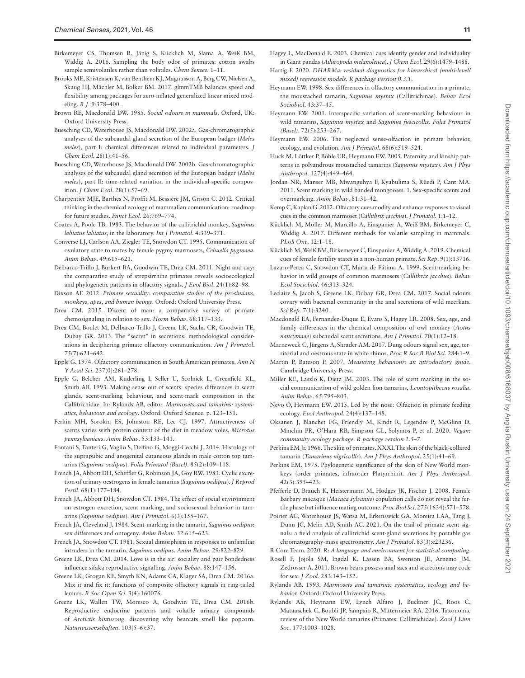- <span id="page-10-23"></span>Birkemeyer CS, Thomsen R, Jänig S, Kücklich M, Slama A, Weiß BM, Widdig A. 2016. Sampling the body odor of primates: cotton swabs sample semivolatiles rather than volatiles. *Chem Senses*. 1–11.
- <span id="page-10-26"></span>Brooks ME, Kristensen K, van Benthem KJ, Magnusson A, Berg CW, Nielsen A, Skaug HJ, Mächler M, Bolker BM. 2017. glmmTMB balances speed and flexibility among packages for zero-inflated generalized linear mixed modeling. *R J*. 9:378–400.
- <span id="page-10-0"></span>Brown RE, Macdonald DW. 1985. *Social odours in mammals*. Oxford, UK: Oxford University Press.
- <span id="page-10-4"></span>Buesching CD, Waterhouse JS, Macdonald DW. 2002a. Gas-chromatographic analyses of the subcaudal gland secretion of the European badger (*Meles meles*), part I: chemical differences related to individual parameters. *J Chem Ecol*. 28(1):41–56.
- <span id="page-10-5"></span>Buesching CD, Waterhouse JS, Macdonald DW. 2002b. Gas-chromatographic analyses of the subcaudal gland secretion of the European badger (*Meles meles*), part II: time-related variation in the individual-specific composition. *J Chem Ecol*. 28(1):57–69.
- <span id="page-10-47"></span>Charpentier MJE, Barthes N, Proffit M, Bessière JM, Grison C. 2012. Critical thinking in the chemical ecology of mammalian communication: roadmap for future studies. *Funct Ecol*. 26:769–774.
- <span id="page-10-31"></span>Coates A, Poole TB. 1983. The behavior of the callitrichid monkey, *Saguinus labiatus labiatus*, in the laboratory. *Int J Primatol*. 4:339–371.
- <span id="page-10-44"></span>Converse LJ, Carlson AA, Ziegler TE, Snowdon CT. 1995. Communication of ovulatory state to mates by female pygmy marmosets, *Cebuella pygmaea*. *Anim Behav*. 49:615–621.
- <span id="page-10-29"></span>Delbarco-Trillo J, Burkert BA, Goodwin TE, Drea CM. 2011. Night and day: the comparative study of strepsirrhine primates reveals socioecological and phylogenetic patterns in olfactory signals. *J Evol Biol*. 24(1):82–98.
- <span id="page-10-41"></span>Dixson AF. 2012. *Primate sexuality: comparative studies of the prosimians, monkeys, apes, and human beings*. Oxford: Oxford University Press.
- <span id="page-10-8"></span>Drea CM. 2015. D'scent of man: a comparative survey of primate chemosignaling in relation to sex. *Horm Behav*. 68:117–133.
- <span id="page-10-24"></span>Drea CM, Boulet M, Delbarco-Trillo J, Greene LK, Sacha CR, Goodwin TE, Dubay GR. 2013. The "secret" in secretions: methodological considerations in deciphering primate olfactory communication. *Am J Primatol*. 75(7):621–642.
- <span id="page-10-14"></span>Epple G. 1974. Olfactory communication in South American primates. *Ann N Y Acad Sci*. 237(0):261–278.
- <span id="page-10-12"></span>Epple G, Belcher AM, Kuderling I, Seller U, Scolnick L, Greenfield KL, Smith AB. 1993. Making sense out of scents: species differences in scent glands, scent-marking behaviour, and scent-mark composition in the Callitrichidae. In: Rylands AB, editor. *Marmosets and tamarins: systematics, behaviour and ecology*. Oxford: Oxford Science. p. 123–151.
- <span id="page-10-48"></span>Ferkin MH, Sorokin ES, Johnston RE, Lee CJ. 1997. Attractiveness of scents varies with protein content of the diet in meadow voles, *Microtus pennsylvanicus*. *Anim Behav*. 53:133–141.
- <span id="page-10-13"></span>Fontani S, Tanteri G, Vaglio S, Delfino G, Moggi-Cecchi J. 2014. Histology of the suprapubic and anogenital cutaneous glands in male cotton top tamarins (*Saguinus oedipus*). *Folia Primatol (Basel)*. 85(2):109–118.
- <span id="page-10-21"></span>French JA, Abbott DH, Scheffler G, Robinson JA, Goy RW. 1983. Cyclic excretion of urinary oestrogens in female tamarins (*Saguinus oedipus*). *J Reprod Fertil*. 68(1):177–184.
- <span id="page-10-42"></span>French JA, Abbott DH, Snowdon CT. 1984. The effect of social environment on estrogen excretion, scent marking, and sociosexual behavior in tamarins (*Saguinus oedipus*). *Am J Primatol*. 6(3):155–167.
- <span id="page-10-39"></span>French JA, Cleveland J. 1984. Scent-marking in the tamarin, *Saguinus oedipus*: sex differences and ontogeny. *Anim Behav*. 32:615–623.
- <span id="page-10-30"></span>French JA, Snowdon CT. 1981. Sexual dimorphism in responses to unfamiliar intruders in the tamarin, *Saguinus oedipus*. *Anim Behav*. 29:822–829.
- <span id="page-10-3"></span>Greene LK, Drea CM. 2014. Love is in the air: sociality and pair bondedness influence sifaka reproductive signalling. *Anim Behav*. 88:147–156.
- <span id="page-10-6"></span>Greene LK, Grogan KE, Smyth KN, Adams CA, Klager SA, Drea CM. 2016a. Mix it and fix it: functions of composite olfactory signals in ring-tailed lemurs. *R Soc Open Sci*. 3(4):160076.
- <span id="page-10-36"></span>Greene LK, Wallen TW, Moresco A, Goodwin TE, Drea CM. 2016b. Reproductive endocrine patterns and volatile urinary compounds of *Arctictis binturong*: discovering why bearcats smell like popcorn. *Naturwissenschaften*. 103(5–6):37.
- <span id="page-10-2"></span>Hagey L, MacDonald E. 2003. Chemical cues identify gender and individuality in Giant pandas (*Ailuropoda melanoleuca*). *J Chem Ecol*. 29(6):1479–1488.
- <span id="page-10-27"></span>Hartig F. 2020. *DHARMa: residual diagnostics for hierarchical (multi-level/ mixed) regression models. R package version 0.3.1*.
- <span id="page-10-32"></span>Heymann EW. 1998. Sex differences in olfactory communication in a primate, the moustached tamarin, *Saguinus mystax* (Callitrichinae). *Behav Ecol Sociobiol*. 43:37–45.
- <span id="page-10-17"></span>Heymann EW. 2001. Interspecific variation of scent-marking behaviour in wild tamarins, *Saguinus mystax* and *Saguinus fuscicollis*. *Folia Primatol (Basel)*. 72(5):253–267.
- <span id="page-10-7"></span>Heymann EW. 2006. The neglected sense-olfaction in primate behavior, ecology, and evolution. *Am J Primatol*. 68(6):519–524.
- <span id="page-10-20"></span>Huck M, Löttker P, Böhle UR, Heymann EW. 2005. Paternity and kinship patterns in polyandrous moustached tamarins (*Saguinus mystax*). *Am J Phys Anthropol*. 127(4):449–464.
- <span id="page-10-34"></span>Jordan NR, Manser MB, Mwanguhya F, Kyabulima S, Rüedi P, Cant MA. 2011. Scent marking in wild banded mongooses. 1. Sex-specific scents and overmarking. *Anim Behav*. 81:31–42.
- <span id="page-10-9"></span>Kemp C, Kaplan G. 2012. Olfactory cues modify and enhance responses to visual cues in the common marmoset (*Callithrix jacchus*). *J Primatol*. 1:1–12.
- <span id="page-10-46"></span>Kücklich M, Möller M, Marcillo A, Einspanier A, Weiß BM, Birkemeyer C, Widdig A. 2017. Different methods for volatile sampling in mammals. *PLoS One*. 12:1–18.
- <span id="page-10-43"></span>Kücklich M, Weiß BM, Birkemeyer C, Einspanier A, Widdig A. 2019. Chemical cues of female fertility states in a non-human primate. *Sci Rep*. 9(1):13716.
- <span id="page-10-15"></span>Lazaro-Perea C, Snowdon CT, Maria de Fátima A. 1999. Scent-marking behavior in wild groups of common marmosets (*Callithrix jacchus*). *Behav Ecol Sociobiol*. 46:313–324.
- <span id="page-10-1"></span>Leclaire S, Jacob S, Greene LK, Dubay GR, Drea CM. 2017. Social odours covary with bacterial community in the anal secretions of wild meerkats. *Sci Rep*. 7(1):3240.
- <span id="page-10-33"></span>Macdonald EA, Fernandez-Duque E, Evans S, Hagey LR. 2008. Sex, age, and family differences in the chemical composition of owl monkey (*Aotus nancymaae*) subcaudal scent secretions. *Am J Primatol*. 70(1):12–18.
- <span id="page-10-37"></span>Marneweck C, Jürgens A, Shrader AM. 2017. Dung odours signal sex, age, territorial and oestrous state in white rhinos. *Proc R Soc B Biol Sci*. 284:1–9.
- <span id="page-10-22"></span>Martin P, Bateson P. 2007. *Measuring behaviour: an introductory guide*. Cambridge University Press.
- <span id="page-10-16"></span>Miller KE, Laszlo K, Dietz JM. 2003. The role of scent marking in the social communication of wild golden lion tamarins, *Leontopithecus rosalia*. *Anim Behav*. 65:795–803.
- <span id="page-10-10"></span>Nevo O, Heymann EW. 2015. Led by the nose: Olfaction in primate feeding ecology. *Evol Anthropol*. 24(4):137–148.
- <span id="page-10-28"></span>Oksanen J, Blanchet FG, Friendly M, Kindt R, Legendre P, McGlinn D, Minchin PR, O'Hara RB, Simpson GL, Solymos P, et al. 2020. *Vegan: community ecology package. R package version 2.5–7*.
- <span id="page-10-11"></span>Perkins EM Jr. 1966. The skin of primates. XXXI. The skin of the black-collared tamarin (*Tamarinus nigricollis*). *Am J Phys Anthropol*. 25(1):41–69.
- <span id="page-10-38"></span>Perkins EM. 1975. Phylogenetic significance of the skin of New World monkeys (order primates, infraorder Platyrrhini). *Am J Phys Anthropol*. 42(3):395–423.
- <span id="page-10-40"></span>Pfefferle D, Brauch K, Heistermann M, Hodges JK, Fischer J. 2008. Female Barbary macaque (*Macaca sylvanus*) copulation calls do not reveal the fertile phase but influence mating outcome. *Proc Biol Sci*. 275(1634):571–578.
- <span id="page-10-45"></span>Poirier AC, Waterhouse JS, Watsa M, Erkenswick GA, Moreira LAA, Tang J, Dunn JC, Melin AD, Smith AC. 2021. On the trail of primate scent signals: a field analysis of callitrichid scent-gland secretions by portable gas chromatography-mass spectrometry. *Am J Primatol*. 83(3):e23236.
- <span id="page-10-25"></span>R Core Team. 2020. *R: A language and environment for statistical computing*.
- <span id="page-10-35"></span>Rosell F, Jojola SM, Ingdal K, Lassen BA, Swenson JE, Arnemo JM, Zedrosser A. 2011. Brown bears possess anal sacs and secretions may code for sex. *J Zool*. 283:143–152.
- <span id="page-10-18"></span>Rylands AB. 1993. *Marmosets and tamarins: systematics, ecology and behavior*. Oxford: Oxford University Press.
- <span id="page-10-19"></span>Rylands AB, Heymann EW, Lynch Alfaro J, Buckner JC, Roos C, Matauschek C, Boubli JP, Sampaio R, Mittermeier RA. 2016. Taxonomic review of the New World tamarins (Primates: Callitrichidae). *Zool J Linn Soc*. 177:1003–1028.